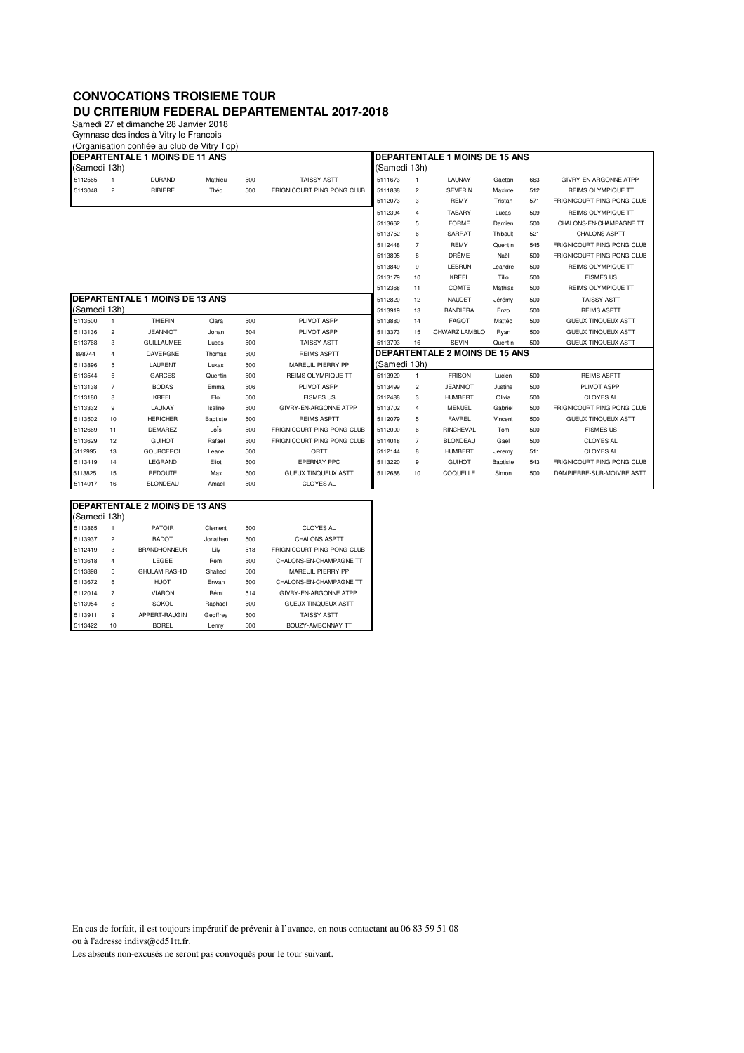## **CONVOCATIONS TROISIEME TOUR DU CRITERIUM FEDERAL DEPARTEMENTAL 2017-2018**

Samedi 27 et dimanche 28 Janvier 2018 Gymnase des indes à Vitry le Francois

(Organisation confiée au club de Vitry Top)

| DEPARTENTALE 1 MOINS DE 11 ANS |                                       |                   |                                     |     |                            |              | <b>DEPARTENTALE 1 MOINS DE 15 ANS</b> |                                       |                 |     |                            |  |  |
|--------------------------------|---------------------------------------|-------------------|-------------------------------------|-----|----------------------------|--------------|---------------------------------------|---------------------------------------|-----------------|-----|----------------------------|--|--|
| (Samedi 13h)                   |                                       |                   |                                     |     |                            | (Samedi 13h) |                                       |                                       |                 |     |                            |  |  |
| 5112565                        |                                       | <b>DURAND</b>     | Mathieu                             | 500 | <b>TAISSY ASTT</b>         | 5111673      | 1                                     | LAUNAY                                | Gaetan          | 663 | GIVRY-EN-ARGONNE ATPP      |  |  |
| 5113048                        | $\overline{c}$                        | RIBIERE           | Théo                                | 500 | FRIGNICOURT PING PONG CLUB | 5111838      | 2                                     | <b>SEVERIN</b>                        | Maxime          | 512 | <b>REIMS OLYMPIQUE TT</b>  |  |  |
|                                |                                       |                   |                                     |     |                            | 5112073      | 3                                     | <b>REMY</b>                           | Tristan         | 571 | FRIGNICOURT PING PONG CLUB |  |  |
|                                |                                       |                   |                                     |     |                            | 5112394      | $\overline{4}$                        | <b>TABARY</b>                         | Lucas           | 509 | <b>REIMS OLYMPIQUE TT</b>  |  |  |
|                                |                                       |                   |                                     |     |                            | 5113662      | 5                                     | <b>FORME</b>                          | Damien          | 500 | CHALONS-EN-CHAMPAGNE TT    |  |  |
|                                |                                       |                   |                                     |     |                            | 5113752      | 6                                     | <b>SARRAT</b>                         | Thibault        | 521 | <b>CHALONS ASPTT</b>       |  |  |
|                                |                                       |                   |                                     |     |                            | 5112448      | $\overline{7}$                        | <b>REMY</b>                           | Quentin         | 545 | FRIGNICOURT PING PONG CLUB |  |  |
|                                |                                       |                   |                                     |     |                            | 5113895      | 8                                     | <b>DRÊME</b>                          | Naël            | 500 | FRIGNICOURT PING PONG CLUB |  |  |
|                                |                                       |                   |                                     |     |                            | 5113849      | 9                                     | <b>LEBRUN</b>                         | Leandre         | 500 | <b>REIMS OLYMPIQUE TT</b>  |  |  |
|                                |                                       |                   |                                     |     |                            | 5113179      | 10                                    | KREEL                                 | Tilio           | 500 | <b>FISMES US</b>           |  |  |
|                                |                                       |                   |                                     |     |                            | 5112368      | 11                                    | COMTE                                 | Mathias         | 500 | <b>REIMS OLYMPIQUE TT</b>  |  |  |
|                                | <b>DEPARTENTALE 1 MOINS DE 13 ANS</b> |                   |                                     |     |                            | 5112820      | 12                                    | <b>NAUDET</b>                         | Jérémy          | 500 | <b>TAISSY ASTT</b>         |  |  |
| (Samedi 13h)                   |                                       |                   |                                     |     |                            | 5113919      | 13                                    | <b>BANDIERA</b>                       | Enzo            | 500 | <b>REIMS ASPTT</b>         |  |  |
| 5113500                        | $\overline{1}$                        | <b>THIEFIN</b>    | Clara                               | 500 | PLIVOT ASPP                | 5113880      | 14                                    | <b>FAGOT</b>                          | Mattéo          | 500 | <b>GUEUX TINQUEUX ASTT</b> |  |  |
| 5113136                        | $\overline{2}$                        | <b>JEANNIOT</b>   | Johan                               | 504 | PLIVOT ASPP                | 5113373      | 15                                    | CHWARZ LAMBLO                         | Ryan            | 500 | <b>GUEUX TINQUEUX ASTT</b> |  |  |
| 5113768                        | 3                                     | <b>GUILLAUMEE</b> | Lucas                               | 500 | <b>TAISSY ASTT</b>         | 5113793      | 16                                    | <b>SEVIN</b>                          | Quentin         | 500 | <b>GUEUX TINQUEUX ASTT</b> |  |  |
| 898744                         | 4                                     | <b>DAVERGNE</b>   | <b>REIMS ASPTT</b><br>500<br>Thomas |     |                            |              |                                       | <b>DEPARTENTALE 2 MOINS DE 15 ANS</b> |                 |     |                            |  |  |
| 5113896                        | 5                                     | LAURENT           | Lukas                               | 500 | MAREUIL PIERRY PP          | (Samedi 13h) |                                       |                                       |                 |     |                            |  |  |
| 5113544                        | 6                                     | <b>GARCES</b>     | Quentin                             | 500 | <b>REIMS OLYMPIQUE TT</b>  | 5113920      | $\mathbf{1}$                          | <b>FRISON</b>                         | Lucien          | 500 | <b>REIMS ASPTT</b>         |  |  |
| 5113138                        | 7                                     | <b>BODAS</b>      | Emma                                | 506 | PLIVOT ASPP                | 5113499      | $\overline{c}$                        | <b>JEANNIOT</b>                       | Justine         | 500 | PLIVOT ASPP                |  |  |
| 5113180                        | 8                                     | KREEL             | Eloi                                | 500 | <b>FISMES US</b>           | 5112488      | 3                                     | <b>HUMBERT</b>                        | Olivia          | 500 | <b>CLOYES AL</b>           |  |  |
| 5113332                        | 9                                     | LAUNAY            | Isaline                             | 500 | GIVRY-EN-ARGONNE ATPP      | 5113702      | 4                                     | <b>MENUEL</b>                         | Gabriel         | 500 | FRIGNICOURT PING PONG CLUB |  |  |
| 5113502                        | 10                                    | <b>HERICHER</b>   | Baptiste                            | 500 | <b>REIMS ASPTT</b>         | 5112079      | 5                                     | <b>FAVREL</b>                         | Vincent         | 500 | <b>GUEUX TINQUEUX ASTT</b> |  |  |
| 5112669                        | 11                                    | <b>DEMAREZ</b>    | LoÏs                                | 500 | FRIGNICOURT PING PONG CLUB | 5112000      | 6                                     | <b>RINCHEVAL</b>                      | Tom             | 500 | <b>FISMES US</b>           |  |  |
| 5113629                        | 12                                    | <b>GUIHOT</b>     | Rafael                              | 500 | FRIGNICOURT PING PONG CLUB | 5114018      | $\overline{7}$                        | <b>BLONDEAU</b>                       | Gael            | 500 | <b>CLOYES AL</b>           |  |  |
| 5112995                        | 13                                    | <b>GOURCEROL</b>  | Leane                               | 500 | ORTT                       | 5112144      | 8                                     | <b>HUMBERT</b>                        | Jeremy          | 511 | <b>CLOYES AL</b>           |  |  |
| 5113419                        | 14                                    | LEGRAND           | Eliot                               | 500 | <b>EPERNAY PPC</b>         | 5113220      | 9                                     | <b>GUIHOT</b>                         | <b>Baptiste</b> | 543 | FRIGNICOURT PING PONG CLUB |  |  |
| 5113825                        | 15                                    | <b>REDOUTE</b>    | Max                                 | 500 | <b>GUEUX TINQUEUX ASTT</b> | 5112688      | 10                                    | COQUELLE                              | Simon           | 500 | DAMPIERRE-SUR-MOIVRE ASTT  |  |  |
| 5114017                        | 16                                    | <b>BLONDEAU</b>   | Amael                               | 500 | <b>CLOYES AL</b>           |              |                                       |                                       |                 |     |                            |  |  |

| <b>IDEPARTENTALE 2 MOINS DE 13 ANS</b> |                |                      |          |     |                            |  |  |  |  |  |  |  |  |  |
|----------------------------------------|----------------|----------------------|----------|-----|----------------------------|--|--|--|--|--|--|--|--|--|
| (Samedi 13h)                           |                |                      |          |     |                            |  |  |  |  |  |  |  |  |  |
| 5113865                                |                | <b>PATOIR</b>        | Clement  | 500 | <b>CLOYES AL</b>           |  |  |  |  |  |  |  |  |  |
| 5113937                                | $\overline{a}$ | <b>BADOT</b>         | Jonathan | 500 | <b>CHALONS ASPTT</b>       |  |  |  |  |  |  |  |  |  |
| 5112419                                | 3              | <b>BRANDHONNEUR</b>  | Lily     | 518 | FRIGNICOURT PING PONG CLUB |  |  |  |  |  |  |  |  |  |
| 5113618                                | $\overline{4}$ | <b>LEGEE</b>         | Remi     | 500 | CHALONS-FN-CHAMPAGNE TT    |  |  |  |  |  |  |  |  |  |
| 5113898                                | 5              | <b>GHULAM RASHID</b> | Shahed   | 500 | MARFUIL PIFRRY PP          |  |  |  |  |  |  |  |  |  |
| 5113672                                | 6              | <b>HIJOT</b>         | Frwan    | 500 | CHALONS-FN-CHAMPAGNE TT    |  |  |  |  |  |  |  |  |  |
| 5112014                                | 7              | <b>VIARON</b>        | Rémi     | 514 | GIVRY-FN-ARGONNE ATPP      |  |  |  |  |  |  |  |  |  |
| 5113954                                | 8              | <b>SOKOL</b>         | Raphael  | 500 | <b>GUEUX TINQUEUX ASTT</b> |  |  |  |  |  |  |  |  |  |
| 5113911                                | 9              | APPERT-RAUGIN        | Geoffrev | 500 | <b>TAISSY ASTT</b>         |  |  |  |  |  |  |  |  |  |
| 5113422                                | 10             | <b>BORFL</b>         | Lenny    | 500 | BOUZY-AMBONNAY TT          |  |  |  |  |  |  |  |  |  |

En cas de forfait, il est toujours impératif de prévenir à l'avance, en nous contactant au 06 83 59 51 08 ou à l'adresse indivs@cd51tt.fr. Les absents non-excusés ne seront pas convoqués pour le tour suivant.